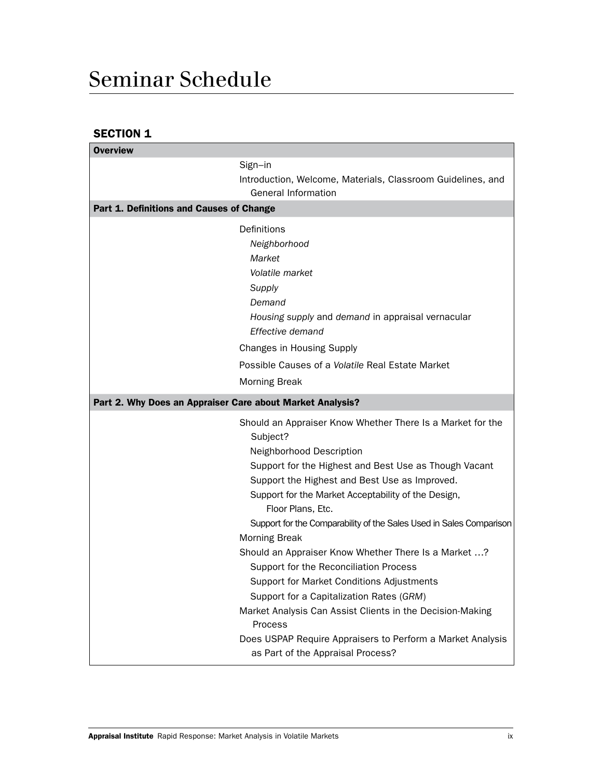# Seminar Schedule

## SECTION 1

| <b>Overview</b>                                           |                                                                                                                                                                                                                                                                                                                                                                 |  |
|-----------------------------------------------------------|-----------------------------------------------------------------------------------------------------------------------------------------------------------------------------------------------------------------------------------------------------------------------------------------------------------------------------------------------------------------|--|
|                                                           | Sign-in                                                                                                                                                                                                                                                                                                                                                         |  |
|                                                           | Introduction, Welcome, Materials, Classroom Guidelines, and<br><b>General Information</b>                                                                                                                                                                                                                                                                       |  |
| Part 1. Definitions and Causes of Change                  |                                                                                                                                                                                                                                                                                                                                                                 |  |
|                                                           | Definitions                                                                                                                                                                                                                                                                                                                                                     |  |
|                                                           | Neighborhood                                                                                                                                                                                                                                                                                                                                                    |  |
|                                                           | Market                                                                                                                                                                                                                                                                                                                                                          |  |
|                                                           | Volatile market                                                                                                                                                                                                                                                                                                                                                 |  |
|                                                           | Supply                                                                                                                                                                                                                                                                                                                                                          |  |
|                                                           | Demand                                                                                                                                                                                                                                                                                                                                                          |  |
|                                                           | Housing supply and demand in appraisal vernacular<br>Effective demand                                                                                                                                                                                                                                                                                           |  |
|                                                           | <b>Changes in Housing Supply</b>                                                                                                                                                                                                                                                                                                                                |  |
|                                                           | Possible Causes of a Volatile Real Estate Market                                                                                                                                                                                                                                                                                                                |  |
|                                                           | <b>Morning Break</b>                                                                                                                                                                                                                                                                                                                                            |  |
| Part 2. Why Does an Appraiser Care about Market Analysis? |                                                                                                                                                                                                                                                                                                                                                                 |  |
|                                                           | Should an Appraiser Know Whether There Is a Market for the<br>Subject?<br>Neighborhood Description<br>Support for the Highest and Best Use as Though Vacant<br>Support the Highest and Best Use as Improved.<br>Support for the Market Acceptability of the Design,<br>Floor Plans, Etc.<br>Support for the Comparability of the Sales Used in Sales Comparison |  |
|                                                           | <b>Morning Break</b>                                                                                                                                                                                                                                                                                                                                            |  |
|                                                           | Should an Appraiser Know Whether There Is a Market ?<br>Support for the Reconciliation Process                                                                                                                                                                                                                                                                  |  |
|                                                           | Support for Market Conditions Adjustments                                                                                                                                                                                                                                                                                                                       |  |
|                                                           | Support for a Capitalization Rates (GRM)                                                                                                                                                                                                                                                                                                                        |  |
|                                                           | Market Analysis Can Assist Clients in the Decision-Making<br>Process                                                                                                                                                                                                                                                                                            |  |
|                                                           | Does USPAP Require Appraisers to Perform a Market Analysis<br>as Part of the Appraisal Process?                                                                                                                                                                                                                                                                 |  |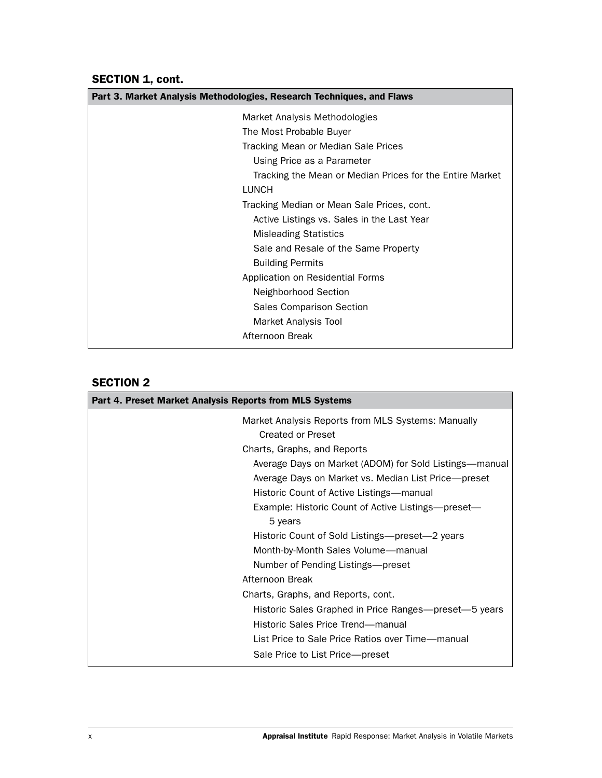SECTION 1, cont.

| Part 3. Market Analysis Methodologies, Research Techniques, and Flaws |  |  |
|-----------------------------------------------------------------------|--|--|
| Market Analysis Methodologies                                         |  |  |
| The Most Probable Buyer                                               |  |  |
| Tracking Mean or Median Sale Prices                                   |  |  |
| Using Price as a Parameter                                            |  |  |
| Tracking the Mean or Median Prices for the Entire Market              |  |  |
| <b>LUNCH</b>                                                          |  |  |
| Tracking Median or Mean Sale Prices, cont.                            |  |  |
| Active Listings vs. Sales in the Last Year                            |  |  |
| <b>Misleading Statistics</b>                                          |  |  |
| Sale and Resale of the Same Property                                  |  |  |
| <b>Building Permits</b>                                               |  |  |
| Application on Residential Forms                                      |  |  |
| Neighborhood Section                                                  |  |  |
| Sales Comparison Section                                              |  |  |
| Market Analysis Tool                                                  |  |  |
| Afternoon Break                                                       |  |  |

SECTION 2

| Part 4. Preset Market Analysis Reports from MLS Systems                 |  |  |
|-------------------------------------------------------------------------|--|--|
| Market Analysis Reports from MLS Systems: Manually<br>Created or Preset |  |  |
| Charts, Graphs, and Reports                                             |  |  |
| Average Days on Market (ADOM) for Sold Listings—manual                  |  |  |
| Average Days on Market vs. Median List Price—preset                     |  |  |
| Historic Count of Active Listings—manual                                |  |  |
| Example: Historic Count of Active Listings-preset-                      |  |  |
| 5 years                                                                 |  |  |
| Historic Count of Sold Listings—preset—2 years                          |  |  |
| Month-by-Month Sales Volume-manual                                      |  |  |
| Number of Pending Listings—preset                                       |  |  |
| Afternoon Break                                                         |  |  |
| Charts, Graphs, and Reports, cont.                                      |  |  |
| Historic Sales Graphed in Price Ranges—preset—5 years                   |  |  |
| Historic Sales Price Trend—manual                                       |  |  |
| List Price to Sale Price Ratios over Time—manual                        |  |  |
| Sale Price to List Price-preset                                         |  |  |